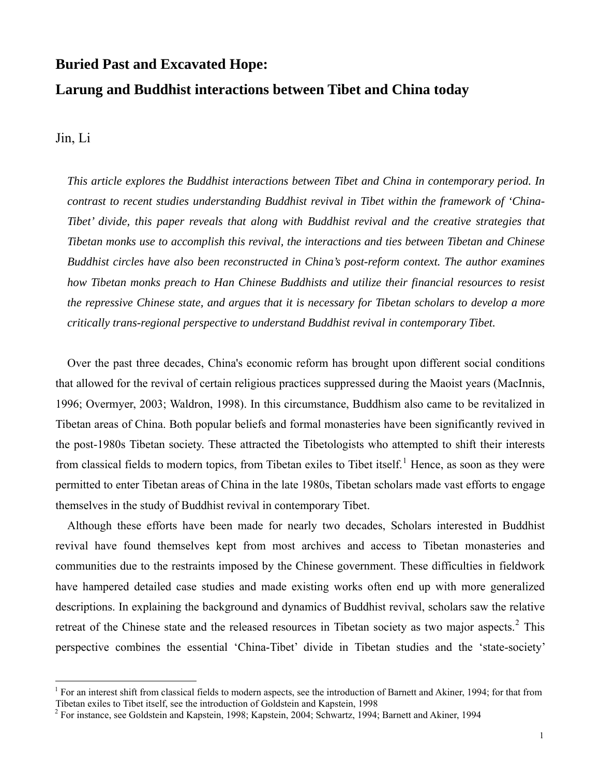# **Buried Past and Excavated Hope: Larung and Buddhist interactions between Tibet and China today**

Jin, Li

 $\overline{a}$ 

*This article explores the Buddhist interactions between Tibet and China in contemporary period. In contrast to recent studies understanding Buddhist revival in Tibet within the framework of 'China-Tibet' divide, this paper reveals that along with Buddhist revival and the creative strategies that Tibetan monks use to accomplish this revival, the interactions and ties between Tibetan and Chinese Buddhist circles have also been reconstructed in China's post-reform context. The author examines how Tibetan monks preach to Han Chinese Buddhists and utilize their financial resources to resist the repressive Chinese state, and argues that it is necessary for Tibetan scholars to develop a more critically trans-regional perspective to understand Buddhist revival in contemporary Tibet.* 

Over the past three decades, China's economic reform has brought upon different social conditions that allowed for the revival of certain religious practices suppressed during the Maoist years (MacInnis, 1996; Overmyer, 2003; Waldron, 1998). In this circumstance, Buddhism also came to be revitalized in Tibetan areas of China. Both popular beliefs and formal monasteries have been significantly revived in the post-1980s Tibetan society. These attracted the Tibetologists who attempted to shift their interests from classical fields to modern topics, from Tibetan exiles to Tibet itself.<sup>[1](#page-0-0)</sup> Hence, as soon as they were permitted to enter Tibetan areas of China in the late 1980s, Tibetan scholars made vast efforts to engage themselves in the study of Buddhist revival in contemporary Tibet.

Although these efforts have been made for nearly two decades, Scholars interested in Buddhist revival have found themselves kept from most archives and access to Tibetan monasteries and communities due to the restraints imposed by the Chinese government. These difficulties in fieldwork have hampered detailed case studies and made existing works often end up with more generalized descriptions. In explaining the background and dynamics of Buddhist revival, scholars saw the relative retreat of the Chinese state and the released resources in Tibetan society as two major aspects.<sup>[2](#page-0-1)</sup> This perspective combines the essential 'China-Tibet' divide in Tibetan studies and the 'state-society'

<span id="page-0-0"></span><sup>&</sup>lt;sup>1</sup> For an interest shift from classical fields to modern aspects, see the introduction of Barnett and Akiner, 1994; for that from Tibetan exiles to Tibet itself, see the introduction of Goldstein and Kapstein, 1998

<span id="page-0-1"></span><sup>&</sup>lt;sup>2</sup> For instance, see Goldstein and Kapstein, 1998; Kapstein, 2004; Schwartz, 1994; Barnett and Akiner, 1994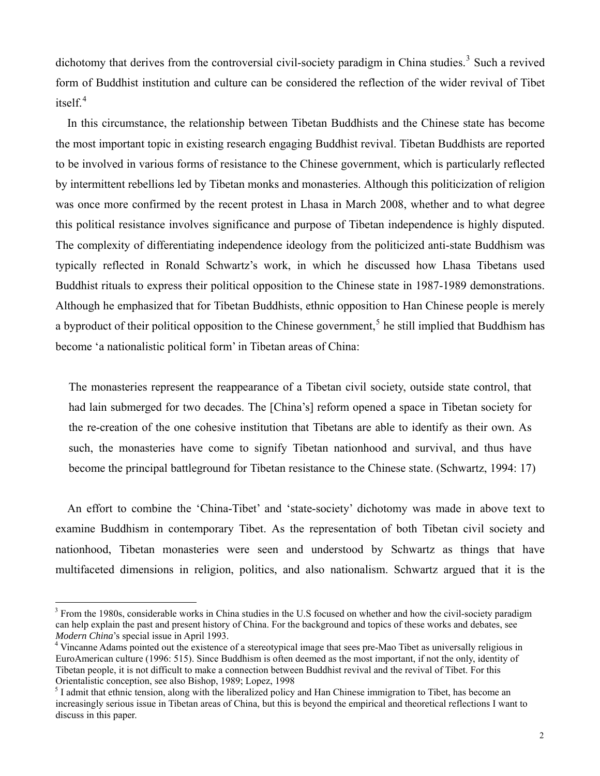dichotomy that derives from the controversial civil-society paradigm in China studies.<sup>[3](#page-1-0)</sup> Such a revived form of Buddhist institution and culture can be considered the reflection of the wider revival of Tibet itself.<sup>[4](#page-1-1)</sup>

In this circumstance, the relationship between Tibetan Buddhists and the Chinese state has become the most important topic in existing research engaging Buddhist revival. Tibetan Buddhists are reported to be involved in various forms of resistance to the Chinese government, which is particularly reflected by intermittent rebellions led by Tibetan monks and monasteries. Although this politicization of religion was once more confirmed by the recent protest in Lhasa in March 2008, whether and to what degree this political resistance involves significance and purpose of Tibetan independence is highly disputed. The complexity of differentiating independence ideology from the politicized anti-state Buddhism was typically reflected in Ronald Schwartz's work, in which he discussed how Lhasa Tibetans used Buddhist rituals to express their political opposition to the Chinese state in 1987-1989 demonstrations. Although he emphasized that for Tibetan Buddhists, ethnic opposition to Han Chinese people is merely a byproduct of their political opposition to the Chinese government,<sup>[5](#page-1-2)</sup> he still implied that Buddhism has become 'a nationalistic political form' in Tibetan areas of China:

The monasteries represent the reappearance of a Tibetan civil society, outside state control, that had lain submerged for two decades. The [China's] reform opened a space in Tibetan society for the re-creation of the one cohesive institution that Tibetans are able to identify as their own. As such, the monasteries have come to signify Tibetan nationhood and survival, and thus have become the principal battleground for Tibetan resistance to the Chinese state. (Schwartz, 1994: 17)

An effort to combine the 'China-Tibet' and 'state-society' dichotomy was made in above text to examine Buddhism in contemporary Tibet. As the representation of both Tibetan civil society and nationhood, Tibetan monasteries were seen and understood by Schwartz as things that have multifaceted dimensions in religion, politics, and also nationalism. Schwartz argued that it is the

<span id="page-1-0"></span> $3$  From the 1980s, considerable works in China studies in the U.S focused on whether and how the civil-society paradigm can help explain the past and present history of China. For the background and topics of these works and debates, see *Modern China*'s special issue in April 1993. 4

<span id="page-1-1"></span>Vincanne Adams pointed out the existence of a stereotypical image that sees pre-Mao Tibet as universally religious in EuroAmerican culture (1996: 515). Since Buddhism is often deemed as the most important, if not the only, identity of Tibetan people, it is not difficult to make a connection between Buddhist revival and the revival of Tibet. For this Orientalistic conception, see also Bishop, 1989; Lopez, 1998

<span id="page-1-2"></span><sup>&</sup>lt;sup>5</sup> I admit that ethnic tension, along with the liberalized policy and Han Chinese immigration to Tibet, has become an increasingly serious issue in Tibetan areas of China, but this is beyond the empirical and theoretical reflections I want to discuss in this paper.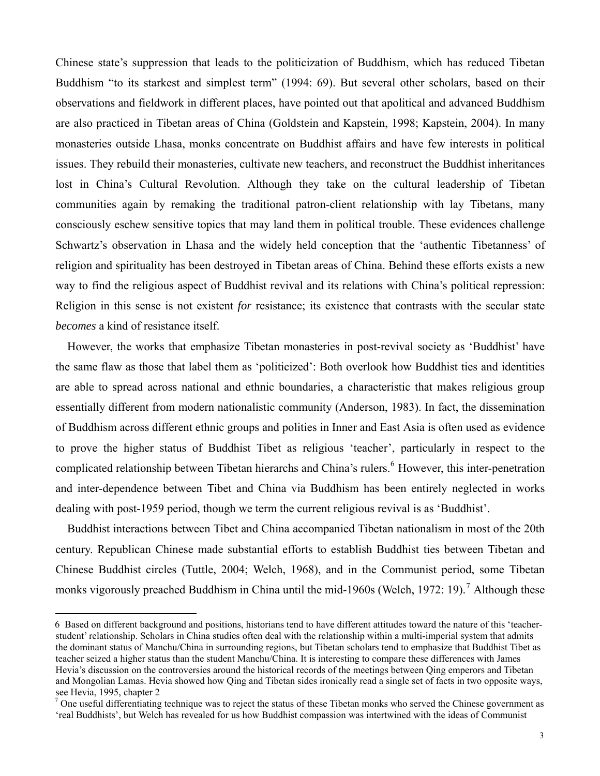Chinese state's suppression that leads to the politicization of Buddhism, which has reduced Tibetan Buddhism "to its starkest and simplest term" (1994: 69). But several other scholars, based on their observations and fieldwork in different places, have pointed out that apolitical and advanced Buddhism are also practiced in Tibetan areas of China (Goldstein and Kapstein, 1998; Kapstein, 2004). In many monasteries outside Lhasa, monks concentrate on Buddhist affairs and have few interests in political issues. They rebuild their monasteries, cultivate new teachers, and reconstruct the Buddhist inheritances lost in China's Cultural Revolution. Although they take on the cultural leadership of Tibetan communities again by remaking the traditional patron-client relationship with lay Tibetans, many consciously eschew sensitive topics that may land them in political trouble. These evidences challenge Schwartz's observation in Lhasa and the widely held conception that the 'authentic Tibetanness' of religion and spirituality has been destroyed in Tibetan areas of China. Behind these efforts exists a new way to find the religious aspect of Buddhist revival and its relations with China's political repression: Religion in this sense is not existent *for* resistance; its existence that contrasts with the secular state *becomes* a kind of resistance itself.

However, the works that emphasize Tibetan monasteries in post-revival society as 'Buddhist' have the same flaw as those that label them as 'politicized': Both overlook how Buddhist ties and identities are able to spread across national and ethnic boundaries, a characteristic that makes religious group essentially different from modern nationalistic community (Anderson, 1983). In fact, the dissemination of Buddhism across different ethnic groups and polities in Inner and East Asia is often used as evidence to prove the higher status of Buddhist Tibet as religious 'teacher', particularly in respect to the complicated relationship between Tibetan hierarchs and China's rulers.<sup>[6](#page-2-0)</sup> However, this inter-penetration and inter-dependence between Tibet and China via Buddhism has been entirely neglected in works dealing with post-1959 period, though we term the current religious revival is as 'Buddhist'.

Buddhist interactions between Tibet and China accompanied Tibetan nationalism in most of the 20th century. Republican Chinese made substantial efforts to establish Buddhist ties between Tibetan and Chinese Buddhist circles (Tuttle, 2004; Welch, 1968), and in the Communist period, some Tibetan monks vigorously preached Buddhism in China until the mid-1960s (Welch, 19[7](#page-2-1)2: 19).<sup>7</sup> Although these

<span id="page-2-0"></span><sup>6</sup> Based on different background and positions, historians tend to have different attitudes toward the nature of this 'teacherstudent' relationship. Scholars in China studies often deal with the relationship within a multi-imperial system that admits the dominant status of Manchu/China in surrounding regions, but Tibetan scholars tend to emphasize that Buddhist Tibet as teacher seized a higher status than the student Manchu/China. It is interesting to compare these differences with James Hevia's discussion on the controversies around the historical records of the meetings between Qing emperors and Tibetan and Mongolian Lamas. Hevia showed how Qing and Tibetan sides ironically read a single set of facts in two opposite ways, see Hevia, 1995, chapter 2

<span id="page-2-1"></span> $<sup>7</sup>$  One useful differentiating technique was to reject the status of these Tibetan monks who served the Chinese government as</sup> 'real Buddhists', but Welch has revealed for us how Buddhist compassion was intertwined with the ideas of Communist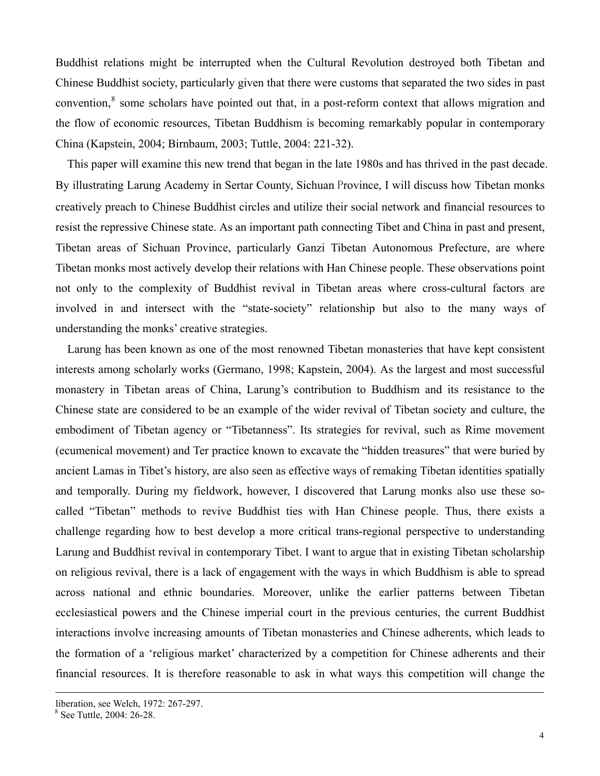Buddhist relations might be interrupted when the Cultural Revolution destroyed both Tibetan and Chinese Buddhist society, particularly given that there were customs that separated the two sides in past convention,<sup>[8](#page-3-0)</sup> some scholars have pointed out that, in a post-reform context that allows migration and the flow of economic resources, Tibetan Buddhism is becoming remarkably popular in contemporary China (Kapstein, 2004; Birnbaum, 2003; Tuttle, 2004: 221-32).

This paper will examine this new trend that began in the late 1980s and has thrived in the past decade. By illustrating Larung Academy in Sertar County, Sichuan Province, I will discuss how Tibetan monks creatively preach to Chinese Buddhist circles and utilize their social network and financial resources to resist the repressive Chinese state. As an important path connecting Tibet and China in past and present, Tibetan areas of Sichuan Province, particularly Ganzi Tibetan Autonomous Prefecture, are where Tibetan monks most actively develop their relations with Han Chinese people. These observations point not only to the complexity of Buddhist revival in Tibetan areas where cross-cultural factors are involved in and intersect with the "state-society" relationship but also to the many ways of understanding the monks' creative strategies.

Larung has been known as one of the most renowned Tibetan monasteries that have kept consistent interests among scholarly works (Germano, 1998; Kapstein, 2004). As the largest and most successful monastery in Tibetan areas of China, Larung's contribution to Buddhism and its resistance to the Chinese state are considered to be an example of the wider revival of Tibetan society and culture, the embodiment of Tibetan agency or "Tibetanness". Its strategies for revival, such as Rime movement (ecumenical movement) and Ter practice known to excavate the "hidden treasures" that were buried by ancient Lamas in Tibet's history, are also seen as effective ways of remaking Tibetan identities spatially and temporally. During my fieldwork, however, I discovered that Larung monks also use these socalled "Tibetan" methods to revive Buddhist ties with Han Chinese people. Thus, there exists a challenge regarding how to best develop a more critical trans-regional perspective to understanding Larung and Buddhist revival in contemporary Tibet. I want to argue that in existing Tibetan scholarship on religious revival, there is a lack of engagement with the ways in which Buddhism is able to spread across national and ethnic boundaries. Moreover, unlike the earlier patterns between Tibetan ecclesiastical powers and the Chinese imperial court in the previous centuries, the current Buddhist interactions involve increasing amounts of Tibetan monasteries and Chinese adherents, which leads to the formation of a 'religious market' characterized by a competition for Chinese adherents and their financial resources. It is therefore reasonable to ask in what ways this competition will change the

liberation, see Welch, 1972: 267-297.

<span id="page-3-0"></span><sup>8</sup> See Tuttle, 2004: 26-28.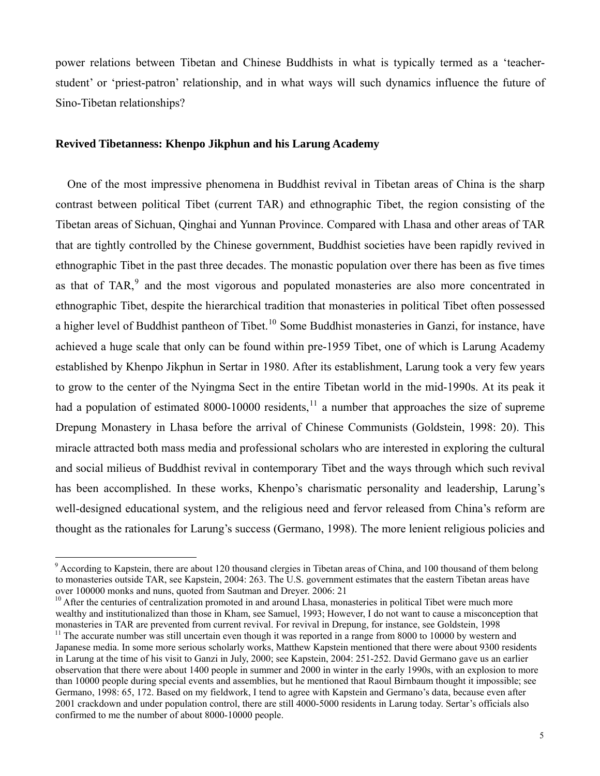power relations between Tibetan and Chinese Buddhists in what is typically termed as a 'teacherstudent' or 'priest-patron' relationship, and in what ways will such dynamics influence the future of Sino-Tibetan relationships?

#### **Revived Tibetanness: Khenpo Jikphun and his Larung Academy**

 $\overline{a}$ 

One of the most impressive phenomena in Buddhist revival in Tibetan areas of China is the sharp contrast between political Tibet (current TAR) and ethnographic Tibet, the region consisting of the Tibetan areas of Sichuan, Qinghai and Yunnan Province. Compared with Lhasa and other areas of TAR that are tightly controlled by the Chinese government, Buddhist societies have been rapidly revived in ethnographic Tibet in the past three decades. The monastic population over there has been as five times as that of TAR, $<sup>9</sup>$  $<sup>9</sup>$  $<sup>9</sup>$  and the most vigorous and populated monasteries are also more concentrated in</sup> ethnographic Tibet, despite the hierarchical tradition that monasteries in political Tibet often possessed a higher level of Buddhist pantheon of Tibet.<sup>[10](#page-4-1)</sup> Some Buddhist monasteries in Ganzi, for instance, have achieved a huge scale that only can be found within pre-1959 Tibet, one of which is Larung Academy established by Khenpo Jikphun in Sertar in 1980. After its establishment, Larung took a very few years to grow to the center of the Nyingma Sect in the entire Tibetan world in the mid-1990s. At its peak it had a population of estimated 8000-10000 residents, $11$  a number that approaches the size of supreme Drepung Monastery in Lhasa before the arrival of Chinese Communists (Goldstein, 1998: 20). This miracle attracted both mass media and professional scholars who are interested in exploring the cultural and social milieus of Buddhist revival in contemporary Tibet and the ways through which such revival has been accomplished. In these works, Khenpo's charismatic personality and leadership, Larung's well-designed educational system, and the religious need and fervor released from China's reform are thought as the rationales for Larung's success (Germano, 1998). The more lenient religious policies and

<span id="page-4-0"></span><sup>&</sup>lt;sup>9</sup> According to Kapstein, there are about 120 thousand clergies in Tibetan areas of China, and 100 thousand of them belong to monasteries outside TAR, see Kapstein, 2004: 263. The U.S. government estimates that the eastern Tibetan areas have over 100000 monks and nuns, quoted from Sautman and Dreyer. 2006: 21

<span id="page-4-1"></span><sup>&</sup>lt;sup>10</sup> After the centuries of centralization promoted in and around Lhasa, monasteries in political Tibet were much more wealthy and institutionalized than those in Kham, see Samuel, 1993; However, I do not want to cause a misconception that monasteries in TAR are prevented from current revival. For revival in Drepung, for instance, see Goldstein, 1998

<span id="page-4-2"></span> $11$  The accurate number was still uncertain even though it was reported in a range from 8000 to 10000 by western and Japanese media. In some more serious scholarly works, Matthew Kapstein mentioned that there were about 9300 residents in Larung at the time of his visit to Ganzi in July, 2000; see Kapstein, 2004: 251-252. David Germano gave us an earlier observation that there were about 1400 people in summer and 2000 in winter in the early 1990s, with an explosion to more than 10000 people during special events and assemblies, but he mentioned that Raoul Birnbaum thought it impossible; see Germano, 1998: 65, 172. Based on my fieldwork, I tend to agree with Kapstein and Germano's data, because even after 2001 crackdown and under population control, there are still 4000-5000 residents in Larung today. Sertar's officials also confirmed to me the number of about 8000-10000 people.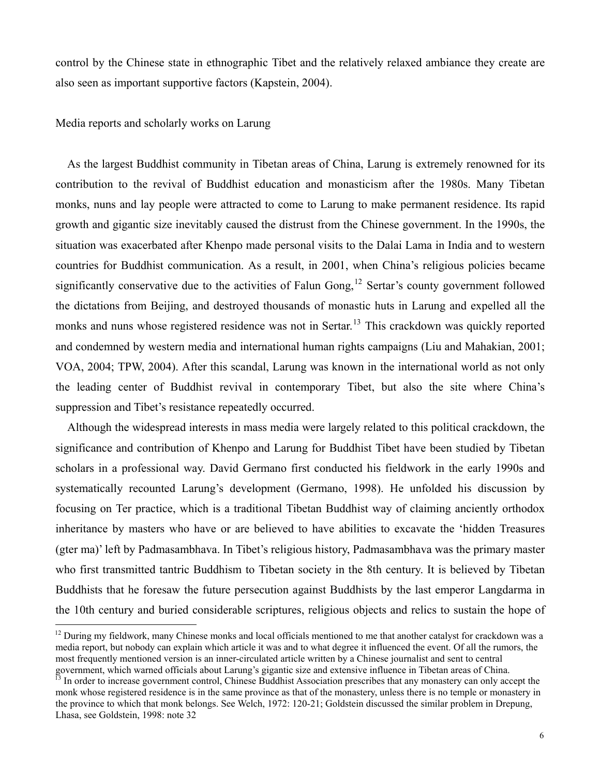control by the Chinese state in ethnographic Tibet and the relatively relaxed ambiance they create are also seen as important supportive factors (Kapstein, 2004).

Media reports and scholarly works on Larung

 $\overline{a}$ 

As the largest Buddhist community in Tibetan areas of China, Larung is extremely renowned for its contribution to the revival of Buddhist education and monasticism after the 1980s. Many Tibetan monks, nuns and lay people were attracted to come to Larung to make permanent residence. Its rapid growth and gigantic size inevitably caused the distrust from the Chinese government. In the 1990s, the situation was exacerbated after Khenpo made personal visits to the Dalai Lama in India and to western countries for Buddhist communication. As a result, in 2001, when China's religious policies became significantly conservative due to the activities of Falun Gong,<sup>[12](#page-5-0)</sup> Sertar's county government followed the dictations from Beijing, and destroyed thousands of monastic huts in Larung and expelled all the monks and nuns whose registered residence was not in Sertar.<sup>[13](#page-5-1)</sup> This crackdown was quickly reported and condemned by western media and international human rights campaigns (Liu and Mahakian, 2001; VOA, 2004; TPW, 2004). After this scandal, Larung was known in the international world as not only the leading center of Buddhist revival in contemporary Tibet, but also the site where China's suppression and Tibet's resistance repeatedly occurred.

Although the widespread interests in mass media were largely related to this political crackdown, the significance and contribution of Khenpo and Larung for Buddhist Tibet have been studied by Tibetan scholars in a professional way. David Germano first conducted his fieldwork in the early 1990s and systematically recounted Larung's development (Germano, 1998). He unfolded his discussion by focusing on Ter practice, which is a traditional Tibetan Buddhist way of claiming anciently orthodox inheritance by masters who have or are believed to have abilities to excavate the 'hidden Treasures (gter ma)' left by Padmasambhava. In Tibet's religious history, Padmasambhava was the primary master who first transmitted tantric Buddhism to Tibetan society in the 8th century. It is believed by Tibetan Buddhists that he foresaw the future persecution against Buddhists by the last emperor Langdarma in the 10th century and buried considerable scriptures, religious objects and relics to sustain the hope of

<span id="page-5-0"></span> $12$  During my fieldwork, many Chinese monks and local officials mentioned to me that another catalyst for crackdown was a media report, but nobody can explain which article it was and to what degree it influenced the event. Of all the rumors, the most frequently mentioned version is an inner-circulated article written by a Chinese journalist and sent to central government, which warned officials about Larung's gigantic size and extensive influence in Tibetan areas of China.

<span id="page-5-1"></span><sup>&</sup>lt;sup>13</sup> In order to increase government control, Chinese Buddhist Association prescribes that any monastery can only accept the monk whose registered residence is in the same province as that of the monastery, unless there is no temple or monastery in the province to which that monk belongs. See Welch, 1972: 120-21; Goldstein discussed the similar problem in Drepung, Lhasa, see Goldstein, 1998: note 32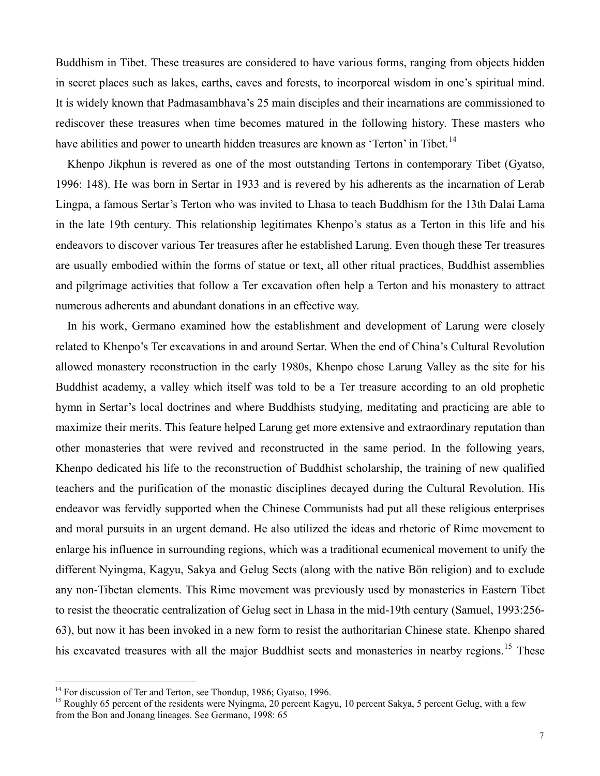Buddhism in Tibet. These treasures are considered to have various forms, ranging from objects hidden in secret places such as lakes, earths, caves and forests, to incorporeal wisdom in one's spiritual mind. It is widely known that Padmasambhava's 25 main disciples and their incarnations are commissioned to rediscover these treasures when time becomes matured in the following history. These masters who have abilities and power to unearth hidden treasures are known as 'Terton' in Tibet.<sup>[14](#page-6-0)</sup>

Khenpo Jikphun is revered as one of the most outstanding Tertons in contemporary Tibet (Gyatso, 1996: 148). He was born in Sertar in 1933 and is revered by his adherents as the incarnation of Lerab Lingpa, a famous Sertar's Terton who was invited to Lhasa to teach Buddhism for the 13th Dalai Lama in the late 19th century. This relationship legitimates Khenpo's status as a Terton in this life and his endeavors to discover various Ter treasures after he established Larung. Even though these Ter treasures are usually embodied within the forms of statue or text, all other ritual practices, Buddhist assemblies and pilgrimage activities that follow a Ter excavation often help a Terton and his monastery to attract numerous adherents and abundant donations in an effective way.

In his work, Germano examined how the establishment and development of Larung were closely related to Khenpo's Ter excavations in and around Sertar. When the end of China's Cultural Revolution allowed monastery reconstruction in the early 1980s, Khenpo chose Larung Valley as the site for his Buddhist academy, a valley which itself was told to be a Ter treasure according to an old prophetic hymn in Sertar's local doctrines and where Buddhists studying, meditating and practicing are able to maximize their merits. This feature helped Larung get more extensive and extraordinary reputation than other monasteries that were revived and reconstructed in the same period. In the following years, Khenpo dedicated his life to the reconstruction of Buddhist scholarship, the training of new qualified teachers and the purification of the monastic disciplines decayed during the Cultural Revolution. His endeavor was fervidly supported when the Chinese Communists had put all these religious enterprises and moral pursuits in an urgent demand. He also utilized the ideas and rhetoric of Rime movement to enlarge his influence in surrounding regions, which was a traditional ecumenical movement to unify the different Nyingma, Kagyu, Sakya and Gelug Sects (along with the native Bön religion) and to exclude any non-Tibetan elements. This Rime movement was previously used by monasteries in Eastern Tibet to resist the theocratic centralization of Gelug sect in Lhasa in the mid-19th century (Samuel, 1993:256- 63), but now it has been invoked in a new form to resist the authoritarian Chinese state. Khenpo shared his excavated treasures with all the major Buddhist sects and monasteries in nearby regions.<sup>[15](#page-6-1)</sup> These

<span id="page-6-0"></span><sup>&</sup>lt;sup>14</sup> For discussion of Ter and Terton, see Thondup, 1986; Gyatso, 1996.

<span id="page-6-1"></span><sup>&</sup>lt;sup>15</sup> Roughly 65 percent of the residents were Nyingma, 20 percent Kagyu, 10 percent Sakya, 5 percent Gelug, with a few from the Bon and Jonang lineages. See Germano, 1998: 65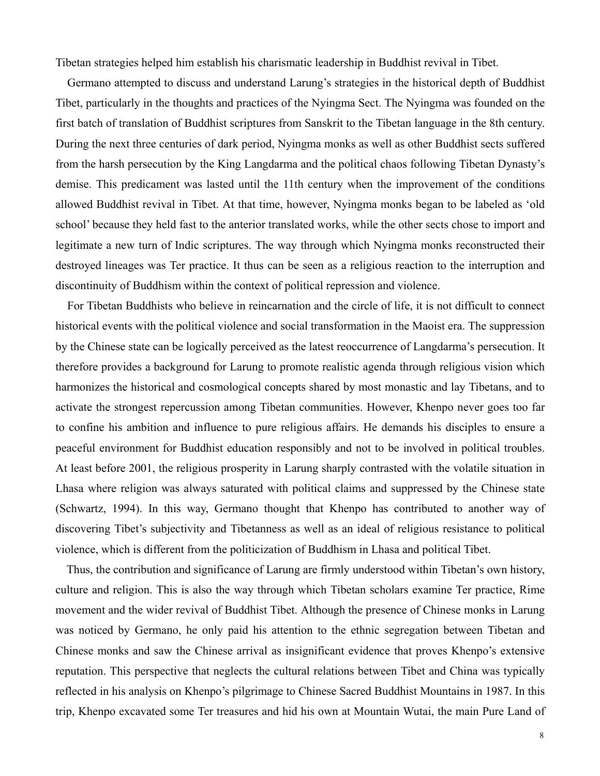Tibetan strategies helped him establish his charismatic leadership in Buddhist revival in Tibet.

Germano attempted to discuss and understand Larung's strategies in the historical depth of Buddhist Tibet, particularly in the thoughts and practices of the Nyingma Sect. The Nyingma was founded on the first batch of translation of Buddhist scriptures from Sanskrit to the Tibetan language in the 8th century. During the next three centuries of dark period, Nyingma monks as well as other Buddhist sects suffered from the harsh persecution by the King Langdarma and the political chaos following Tibetan Dynasty's demise. This predicament was lasted until the 11th century when the improvement of the conditions allowed Buddhist revival in Tibet. At that time, however, Nyingma monks began to be labeled as 'old school' because they held fast to the anterior translated works, while the other sects chose to import and legitimate a new turn of Indic scriptures. The way through which Nyingma monks reconstructed their destroyed lineages was Ter practice. It thus can be seen as a religious reaction to the interruption and discontinuity of Buddhism within the context of political repression and violence.

For Tibetan Buddhists who believe in reincarnation and the circle of life, it is not difficult to connect historical events with the political violence and social transformation in the Maoist era. The suppression by the Chinese state can be logically perceived as the latest reoccurrence of Langdarma's persecution. It therefore provides a background for Larung to promote realistic agenda through religious vision which harmonizes the historical and cosmological concepts shared by most monastic and lay Tibetans, and to activate the strongest repercussion among Tibetan communities. However, Khenpo never goes too far to confine his ambition and influence to pure religious affairs. He demands his disciples to ensure a peaceful environment for Buddhist education responsibly and not to be involved in political troubles. At least before 2001, the religious prosperity in Larung sharply contrasted with the volatile situation in Lhasa where religion was always saturated with political claims and suppressed by the Chinese state (Schwartz, 1994). In this way, Germano thought that Khenpo has contributed to another way of discovering Tibet's subjectivity and Tibetanness as well as an ideal of religious resistance to political violence, which is different from the politicization of Buddhism in Lhasa and political Tibet.

Thus, the contribution and significance of Larung are firmly understood within Tibetan's own history, culture and religion. This is also the way through which Tibetan scholars examine Ter practice, Rime movement and the wider revival of Buddhist Tibet. Although the presence of Chinese monks in Larung was noticed by Germano, he only paid his attention to the ethnic segregation between Tibetan and Chinese monks and saw the Chinese arrival as insignificant evidence that proves Khenpo's extensive reputation. This perspective that neglects the cultural relations between Tibet and China was typically reflected in his analysis on Khenpo's pilgrimage to Chinese Sacred Buddhist Mountains in 1987. In this trip, Khenpo excavated some Ter treasures and hid his own at Mountain Wutai, the main Pure Land of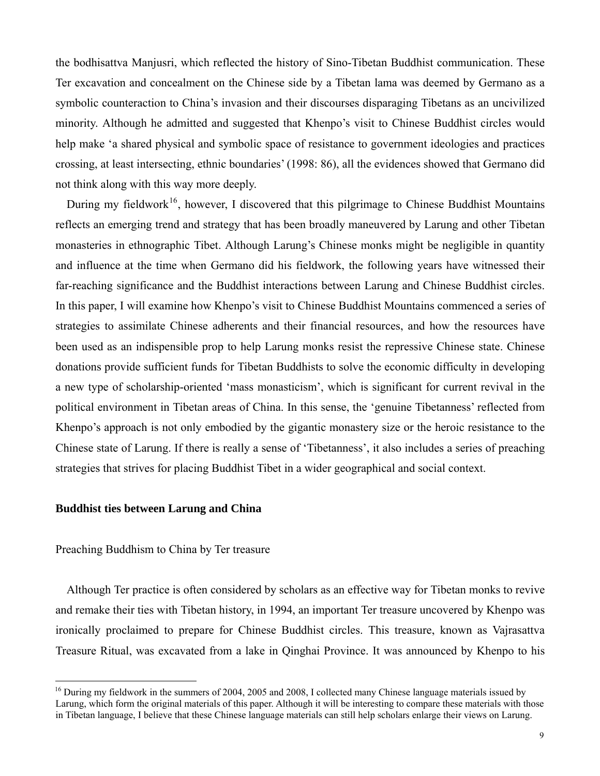the bodhisattva Manjusri, which reflected the history of Sino-Tibetan Buddhist communication. These Ter excavation and concealment on the Chinese side by a Tibetan lama was deemed by Germano as a symbolic counteraction to China's invasion and their discourses disparaging Tibetans as an uncivilized minority. Although he admitted and suggested that Khenpo's visit to Chinese Buddhist circles would help make 'a shared physical and symbolic space of resistance to government ideologies and practices crossing, at least intersecting, ethnic boundaries' (1998: 86), all the evidences showed that Germano did not think along with this way more deeply.

During my fieldwork<sup>[16](#page-8-0)</sup>, however, I discovered that this pilgrimage to Chinese Buddhist Mountains reflects an emerging trend and strategy that has been broadly maneuvered by Larung and other Tibetan monasteries in ethnographic Tibet. Although Larung's Chinese monks might be negligible in quantity and influence at the time when Germano did his fieldwork, the following years have witnessed their far-reaching significance and the Buddhist interactions between Larung and Chinese Buddhist circles. In this paper, I will examine how Khenpo's visit to Chinese Buddhist Mountains commenced a series of strategies to assimilate Chinese adherents and their financial resources, and how the resources have been used as an indispensible prop to help Larung monks resist the repressive Chinese state. Chinese donations provide sufficient funds for Tibetan Buddhists to solve the economic difficulty in developing a new type of scholarship-oriented 'mass monasticism', which is significant for current revival in the political environment in Tibetan areas of China. In this sense, the 'genuine Tibetanness' reflected from Khenpo's approach is not only embodied by the gigantic monastery size or the heroic resistance to the Chinese state of Larung. If there is really a sense of 'Tibetanness', it also includes a series of preaching strategies that strives for placing Buddhist Tibet in a wider geographical and social context.

## **Buddhist ties between Larung and China**

## Preaching Buddhism to China by Ter treasure

 $\overline{a}$ 

Although Ter practice is often considered by scholars as an effective way for Tibetan monks to revive and remake their ties with Tibetan history, in 1994, an important Ter treasure uncovered by Khenpo was ironically proclaimed to prepare for Chinese Buddhist circles. This treasure, known as Vajrasattva Treasure Ritual, was excavated from a lake in Qinghai Province. It was announced by Khenpo to his

<span id="page-8-0"></span> $16$  During my fieldwork in the summers of 2004, 2005 and 2008, I collected many Chinese language materials issued by Larung, which form the original materials of this paper. Although it will be interesting to compare these materials with those in Tibetan language, I believe that these Chinese language materials can still help scholars enlarge their views on Larung.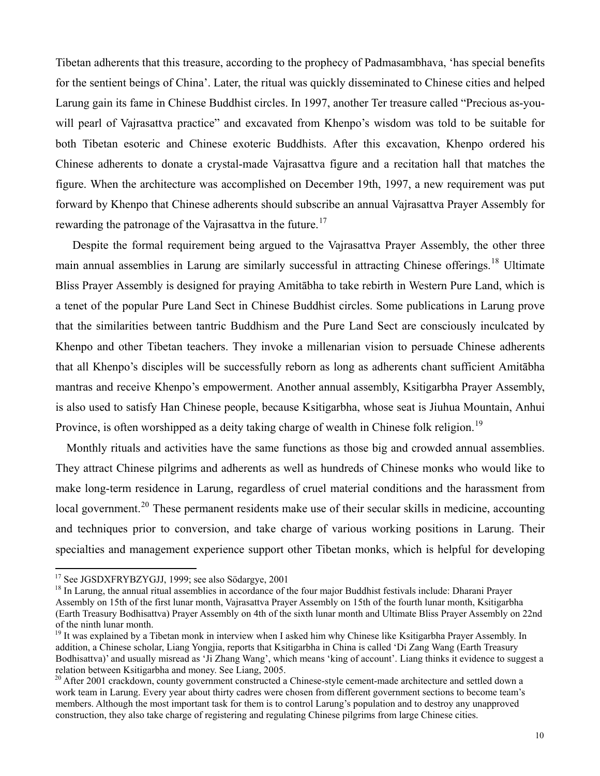Tibetan adherents that this treasure, according to the prophecy of Padmasambhava, 'has special benefits for the sentient beings of China'. Later, the ritual was quickly disseminated to Chinese cities and helped Larung gain its fame in Chinese Buddhist circles. In 1997, another Ter treasure called "Precious as-youwill pearl of Vajrasattva practice" and excavated from Khenpo's wisdom was told to be suitable for both Tibetan esoteric and Chinese exoteric Buddhists. After this excavation, Khenpo ordered his Chinese adherents to donate a crystal-made Vajrasattva figure and a recitation hall that matches the figure. When the architecture was accomplished on December 19th, 1997, a new requirement was put forward by Khenpo that Chinese adherents should subscribe an annual Vajrasattva Prayer Assembly for rewarding the patronage of the Vajrasattva in the future.<sup>[17](#page-9-0)</sup>

 Despite the formal requirement being argued to the Vajrasattva Prayer Assembly, the other three main annual assemblies in Larung are similarly successful in attracting Chinese offerings.<sup>[18](#page-9-1)</sup> Ultimate Bliss Prayer Assembly is designed for praying Amitābha to take rebirth in Western Pure Land, which is a tenet of the popular Pure Land Sect in Chinese Buddhist circles. Some publications in Larung prove that the similarities between tantric Buddhism and the Pure Land Sect are consciously inculcated by Khenpo and other Tibetan teachers. They invoke a millenarian vision to persuade Chinese adherents that all Khenpo's disciples will be successfully reborn as long as adherents chant sufficient Amitābha mantras and receive Khenpo's empowerment. Another annual assembly, Ksitigarbha Prayer Assembly, is also used to satisfy Han Chinese people, because Ksitigarbha, whose seat is Jiuhua Mountain, Anhui Province, is often worshipped as a deity taking charge of wealth in Chinese folk religion.<sup>[19](#page-9-2)</sup>

Monthly rituals and activities have the same functions as those big and crowded annual assemblies. They attract Chinese pilgrims and adherents as well as hundreds of Chinese monks who would like to make long-term residence in Larung, regardless of cruel material conditions and the harassment from local government.<sup>[20](#page-9-3)</sup> These permanent residents make use of their secular skills in medicine, accounting and techniques prior to conversion, and take charge of various working positions in Larung. Their specialties and management experience support other Tibetan monks, which is helpful for developing

<span id="page-9-0"></span><sup>&</sup>lt;sup>17</sup> See JGSDXFRYBZYGJJ, 1999; see also Södargye, 2001

<span id="page-9-1"></span><sup>&</sup>lt;sup>18</sup> In Larung, the annual ritual assemblies in accordance of the four major Buddhist festivals include: Dharani Prayer Assembly on 15th of the first lunar month, Vajrasattva Prayer Assembly on 15th of the fourth lunar month, Ksitigarbha (Earth Treasury Bodhisattva) Prayer Assembly on 4th of the sixth lunar month and Ultimate Bliss Prayer Assembly on 22nd of the ninth lunar month.

<span id="page-9-2"></span><sup>&</sup>lt;sup>19</sup> It was explained by a Tibetan monk in interview when I asked him why Chinese like Ksitigarbha Prayer Assembly. In addition, a Chinese scholar, Liang Yongjia, reports that Ksitigarbha in China is called 'Di Zang Wang (Earth Treasury Bodhisattva)' and usually misread as 'Ji Zhang Wang', which means 'king of account'. Liang thinks it evidence to suggest a relation between Ksitigarbha and money. See Liang, 2005.

<span id="page-9-3"></span><sup>&</sup>lt;sup>20</sup> After 2001 crackdown, county government constructed a Chinese-style cement-made architecture and settled down a work team in Larung. Every year about thirty cadres were chosen from different government sections to become team's members. Although the most important task for them is to control Larung's population and to destroy any unapproved construction, they also take charge of registering and regulating Chinese pilgrims from large Chinese cities.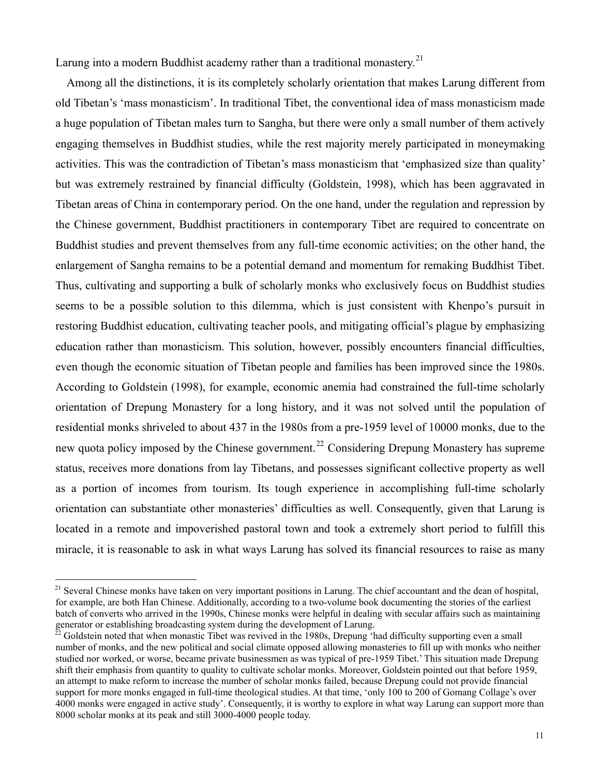Larung into a modern Buddhist academy rather than a traditional monastery.<sup>[21](#page-10-0)</sup>

Among all the distinctions, it is its completely scholarly orientation that makes Larung different from old Tibetan's 'mass monasticism'. In traditional Tibet, the conventional idea of mass monasticism made a huge population of Tibetan males turn to Sangha, but there were only a small number of them actively engaging themselves in Buddhist studies, while the rest majority merely participated in moneymaking activities. This was the contradiction of Tibetan's mass monasticism that 'emphasized size than quality' but was extremely restrained by financial difficulty (Goldstein, 1998), which has been aggravated in Tibetan areas of China in contemporary period. On the one hand, under the regulation and repression by the Chinese government, Buddhist practitioners in contemporary Tibet are required to concentrate on Buddhist studies and prevent themselves from any full-time economic activities; on the other hand, the enlargement of Sangha remains to be a potential demand and momentum for remaking Buddhist Tibet. Thus, cultivating and supporting a bulk of scholarly monks who exclusively focus on Buddhist studies seems to be a possible solution to this dilemma, which is just consistent with Khenpo's pursuit in restoring Buddhist education, cultivating teacher pools, and mitigating official's plague by emphasizing education rather than monasticism. This solution, however, possibly encounters financial difficulties, even though the economic situation of Tibetan people and families has been improved since the 1980s. According to Goldstein (1998), for example, economic anemia had constrained the full-time scholarly orientation of Drepung Monastery for a long history, and it was not solved until the population of residential monks shriveled to about 437 in the 1980s from a pre-1959 level of 10000 monks, due to the new quota policy imposed by the Chinese government.<sup>[22](#page-10-1)</sup> Considering Drepung Monastery has supreme status, receives more donations from lay Tibetans, and possesses significant collective property as well as a portion of incomes from tourism. Its tough experience in accomplishing full-time scholarly orientation can substantiate other monasteries' difficulties as well. Consequently, given that Larung is located in a remote and impoverished pastoral town and took a extremely short period to fulfill this miracle, it is reasonable to ask in what ways Larung has solved its financial resources to raise as many

<span id="page-10-0"></span><sup>&</sup>lt;sup>21</sup> Several Chinese monks have taken on very important positions in Larung. The chief accountant and the dean of hospital, for example, are both Han Chinese. Additionally, according to a two-volume book documenting the stories of the earliest batch of converts who arrived in the 1990s, Chinese monks were helpful in dealing with secular affairs such as maintaining generator or establishing broadcasting system during the development of Larung.

<span id="page-10-1"></span> $^{22}$  Goldstein noted that when monastic Tibet was revived in the 1980s, Drepung 'had difficulty supporting even a small number of monks, and the new political and social climate opposed allowing monasteries to fill up with monks who neither studied nor worked, or worse, became private businessmen as was typical of pre-1959 Tibet.' This situation made Drepung shift their emphasis from quantity to quality to cultivate scholar monks. Moreover, Goldstein pointed out that before 1959, an attempt to make reform to increase the number of scholar monks failed, because Drepung could not provide financial support for more monks engaged in full-time theological studies. At that time, 'only 100 to 200 of Gomang Collage's over 4000 monks were engaged in active study'. Consequently, it is worthy to explore in what way Larung can support more than 8000 scholar monks at its peak and still 3000-4000 people today.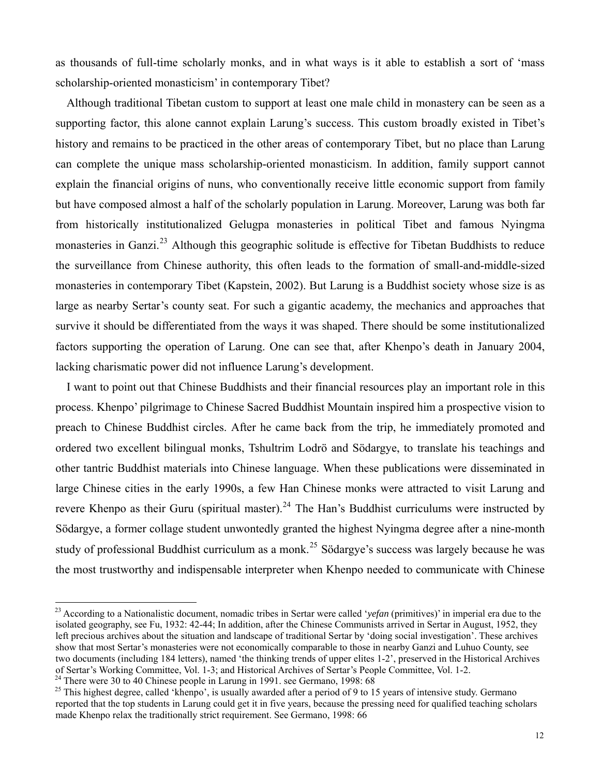as thousands of full-time scholarly monks, and in what ways is it able to establish a sort of 'mass scholarship-oriented monasticism' in contemporary Tibet?

Although traditional Tibetan custom to support at least one male child in monastery can be seen as a supporting factor, this alone cannot explain Larung's success. This custom broadly existed in Tibet's history and remains to be practiced in the other areas of contemporary Tibet, but no place than Larung can complete the unique mass scholarship-oriented monasticism. In addition, family support cannot explain the financial origins of nuns, who conventionally receive little economic support from family but have composed almost a half of the scholarly population in Larung. Moreover, Larung was both far from historically institutionalized Gelugpa monasteries in political Tibet and famous Nyingma monasteries in Ganzi.<sup>[23](#page-11-0)</sup> Although this geographic solitude is effective for Tibetan Buddhists to reduce the surveillance from Chinese authority, this often leads to the formation of small-and-middle-sized monasteries in contemporary Tibet (Kapstein, 2002). But Larung is a Buddhist society whose size is as large as nearby Sertar's county seat. For such a gigantic academy, the mechanics and approaches that survive it should be differentiated from the ways it was shaped. There should be some institutionalized factors supporting the operation of Larung. One can see that, after Khenpo's death in January 2004, lacking charismatic power did not influence Larung's development.

I want to point out that Chinese Buddhists and their financial resources play an important role in this process. Khenpo' pilgrimage to Chinese Sacred Buddhist Mountain inspired him a prospective vision to preach to Chinese Buddhist circles. After he came back from the trip, he immediately promoted and ordered two excellent bilingual monks, Tshultrim Lodrö and Södargye, to translate his teachings and other tantric Buddhist materials into Chinese language. When these publications were disseminated in large Chinese cities in the early 1990s, a few Han Chinese monks were attracted to visit Larung and revere Khenpo as their Guru (spiritual master).<sup>[24](#page-11-1)</sup> The Han's Buddhist curriculums were instructed by Södargye, a former collage student unwontedly granted the highest Nyingma degree after a nine-month study of professional Buddhist curriculum as a monk.<sup>[25](#page-11-2)</sup> Södargye's success was largely because he was the most trustworthy and indispensable interpreter when Khenpo needed to communicate with Chinese

<span id="page-11-0"></span><sup>23</sup> According to a Nationalistic document, nomadic tribes in Sertar were called '*yefan* (primitives)' in imperial era due to the isolated geography, see Fu, 1932: 42-44; In addition, after the Chinese Communists arrived in Sertar in August, 1952, they left precious archives about the situation and landscape of traditional Sertar by 'doing social investigation'. These archives show that most Sertar's monasteries were not economically comparable to those in nearby Ganzi and Luhuo County, see two documents (including 184 letters), named 'the thinking trends of upper elites 1-2', preserved in the Historical Archives of Sertar's Working Committee, Vol. 1-3; and Historical Archives of Sertar's People Committee, Vol. 1-2.

<span id="page-11-1"></span> $24$  There were 30 to 40 Chinese people in Larung in 1991. see Germano, 1998: 68

<span id="page-11-2"></span> $^{25}$  This highest degree, called 'khenpo', is usually awarded after a period of 9 to 15 years of intensive study. Germano reported that the top students in Larung could get it in five years, because the pressing need for qualified teaching scholars made Khenpo relax the traditionally strict requirement. See Germano, 1998: 66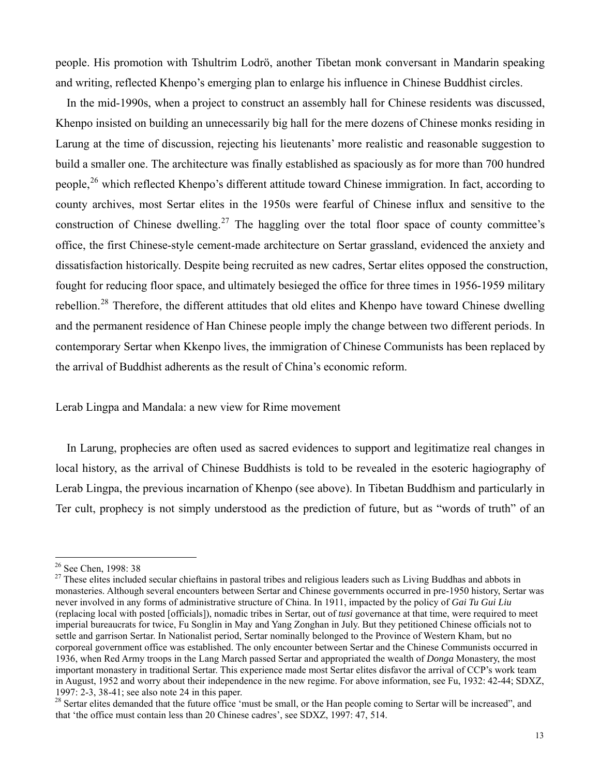people. His promotion with Tshultrim Lodrö, another Tibetan monk conversant in Mandarin speaking and writing, reflected Khenpo's emerging plan to enlarge his influence in Chinese Buddhist circles.

In the mid-1990s, when a project to construct an assembly hall for Chinese residents was discussed, Khenpo insisted on building an unnecessarily big hall for the mere dozens of Chinese monks residing in Larung at the time of discussion, rejecting his lieutenants' more realistic and reasonable suggestion to build a smaller one. The architecture was finally established as spaciously as for more than 700 hundred people,<sup>[26](#page-12-0)</sup> which reflected Khenpo's different attitude toward Chinese immigration. In fact, according to county archives, most Sertar elites in the 1950s were fearful of Chinese influx and sensitive to the construction of Chinese dwelling.<sup>[27](#page-12-1)</sup> The haggling over the total floor space of county committee's office, the first Chinese-style cement-made architecture on Sertar grassland, evidenced the anxiety and dissatisfaction historically. Despite being recruited as new cadres, Sertar elites opposed the construction, fought for reducing floor space, and ultimately besieged the office for three times in 1956-1959 military rebellion.[28](#page-12-2) Therefore, the different attitudes that old elites and Khenpo have toward Chinese dwelling and the permanent residence of Han Chinese people imply the change between two different periods. In contemporary Sertar when Kkenpo lives, the immigration of Chinese Communists has been replaced by the arrival of Buddhist adherents as the result of China's economic reform.

Lerab Lingpa and Mandala: a new view for Rime movement

In Larung, prophecies are often used as sacred evidences to support and legitimatize real changes in local history, as the arrival of Chinese Buddhists is told to be revealed in the esoteric hagiography of Lerab Lingpa, the previous incarnation of Khenpo (see above). In Tibetan Buddhism and particularly in Ter cult, prophecy is not simply understood as the prediction of future, but as "words of truth" of an

<span id="page-12-0"></span><sup>&</sup>lt;sup>26</sup> See Chen, 1998: 38

<span id="page-12-1"></span> $27$  These elites included secular chieftains in pastoral tribes and religious leaders such as Living Buddhas and abbots in monasteries. Although several encounters between Sertar and Chinese governments occurred in pre-1950 history, Sertar was never involved in any forms of administrative structure of China. In 1911, impacted by the policy of *Gai Tu Gui Liu*  (replacing local with posted [officials]), nomadic tribes in Sertar, out of *tusi* governance at that time, were required to meet imperial bureaucrats for twice, Fu Songlin in May and Yang Zonghan in July. But they petitioned Chinese officials not to settle and garrison Sertar. In Nationalist period, Sertar nominally belonged to the Province of Western Kham, but no corporeal government office was established. The only encounter between Sertar and the Chinese Communists occurred in 1936, when Red Army troops in the Lang March passed Sertar and appropriated the wealth of *Donga* Monastery, the most important monastery in traditional Sertar. This experience made most Sertar elites disfavor the arrival of CCP's work team in August, 1952 and worry about their independence in the new regime. For above information, see Fu, 1932: 42-44; SDXZ, 1997: 2-3, 38-41; see also note 24 in this paper.

<span id="page-12-2"></span><sup>&</sup>lt;sup>28</sup> Sertar elites demanded that the future office 'must be small, or the Han people coming to Sertar will be increased", and that 'the office must contain less than 20 Chinese cadres', see SDXZ, 1997: 47, 514.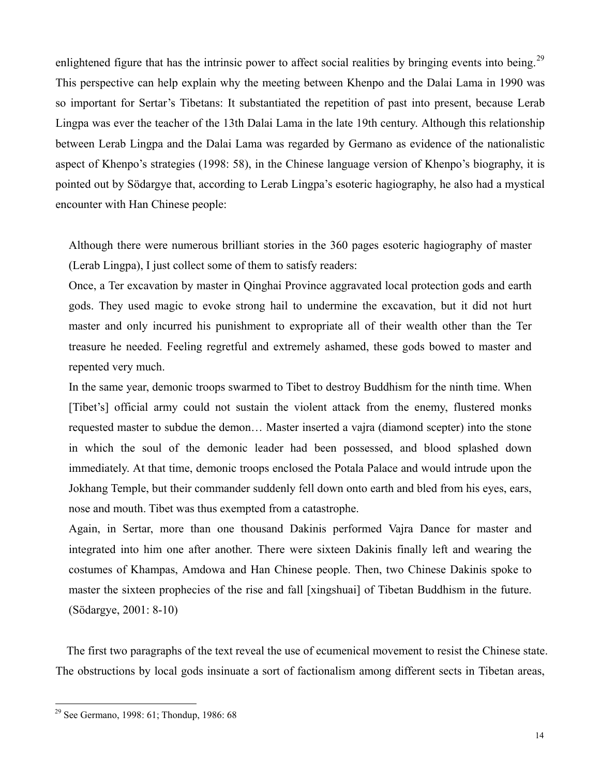enlightened figure that has the intrinsic power to affect social realities by bringing events into being.<sup>[29](#page-13-0)</sup> This perspective can help explain why the meeting between Khenpo and the Dalai Lama in 1990 was so important for Sertar's Tibetans: It substantiated the repetition of past into present, because Lerab Lingpa was ever the teacher of the 13th Dalai Lama in the late 19th century. Although this relationship between Lerab Lingpa and the Dalai Lama was regarded by Germano as evidence of the nationalistic aspect of Khenpo's strategies (1998: 58), in the Chinese language version of Khenpo's biography, it is pointed out by Södargye that, according to Lerab Lingpa's esoteric hagiography, he also had a mystical encounter with Han Chinese people:

Although there were numerous brilliant stories in the 360 pages esoteric hagiography of master (Lerab Lingpa), I just collect some of them to satisfy readers:

Once, a Ter excavation by master in Qinghai Province aggravated local protection gods and earth gods. They used magic to evoke strong hail to undermine the excavation, but it did not hurt master and only incurred his punishment to expropriate all of their wealth other than the Ter treasure he needed. Feeling regretful and extremely ashamed, these gods bowed to master and repented very much.

In the same year, demonic troops swarmed to Tibet to destroy Buddhism for the ninth time. When [Tibet's] official army could not sustain the violent attack from the enemy, flustered monks requested master to subdue the demon… Master inserted a vajra (diamond scepter) into the stone in which the soul of the demonic leader had been possessed, and blood splashed down immediately. At that time, demonic troops enclosed the Potala Palace and would intrude upon the Jokhang Temple, but their commander suddenly fell down onto earth and bled from his eyes, ears, nose and mouth. Tibet was thus exempted from a catastrophe.

Again, in Sertar, more than one thousand Dakinis performed Vajra Dance for master and integrated into him one after another. There were sixteen Dakinis finally left and wearing the costumes of Khampas, Amdowa and Han Chinese people. Then, two Chinese Dakinis spoke to master the sixteen prophecies of the rise and fall [xingshuai] of Tibetan Buddhism in the future. (Södargye, 2001: 8-10)

The first two paragraphs of the text reveal the use of ecumenical movement to resist the Chinese state. The obstructions by local gods insinuate a sort of factionalism among different sects in Tibetan areas,

<span id="page-13-0"></span><sup>&</sup>lt;sup>29</sup> See Germano, 1998: 61; Thondup, 1986: 68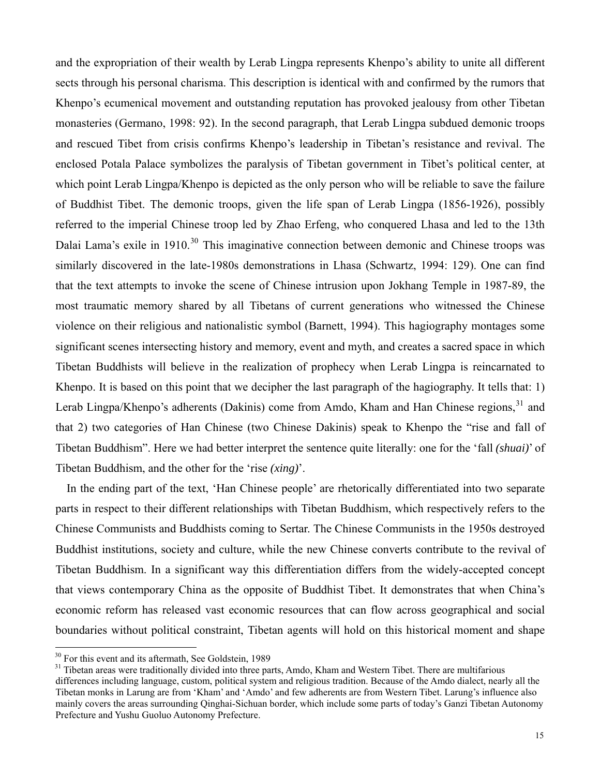and the expropriation of their wealth by Lerab Lingpa represents Khenpo's ability to unite all different sects through his personal charisma. This description is identical with and confirmed by the rumors that Khenpo's ecumenical movement and outstanding reputation has provoked jealousy from other Tibetan monasteries (Germano, 1998: 92). In the second paragraph, that Lerab Lingpa subdued demonic troops and rescued Tibet from crisis confirms Khenpo's leadership in Tibetan's resistance and revival. The enclosed Potala Palace symbolizes the paralysis of Tibetan government in Tibet's political center, at which point Lerab Lingpa/Khenpo is depicted as the only person who will be reliable to save the failure of Buddhist Tibet. The demonic troops, given the life span of Lerab Lingpa (1856-1926), possibly referred to the imperial Chinese troop led by Zhao Erfeng, who conquered Lhasa and led to the 13th Dalai Lama's exile in 1910.<sup>30</sup> This imaginative connection between demonic and Chinese troops was similarly discovered in the late-1980s demonstrations in Lhasa (Schwartz, 1994: 129). One can find that the text attempts to invoke the scene of Chinese intrusion upon Jokhang Temple in 1987-89, the most traumatic memory shared by all Tibetans of current generations who witnessed the Chinese violence on their religious and nationalistic symbol (Barnett, 1994). This hagiography montages some significant scenes intersecting history and memory, event and myth, and creates a sacred space in which Tibetan Buddhists will believe in the realization of prophecy when Lerab Lingpa is reincarnated to Khenpo. It is based on this point that we decipher the last paragraph of the hagiography. It tells that: 1) Lerab Lingpa/Khenpo's adherents (Dakinis) come from Amdo, Kham and Han Chinese regions, [31](#page-14-1) and that 2) two categories of Han Chinese (two Chinese Dakinis) speak to Khenpo the "rise and fall of Tibetan Buddhism". Here we had better interpret the sentence quite literally: one for the 'fall *(shuai)*' of Tibetan Buddhism, and the other for the 'rise *(xing)*'.

In the ending part of the text, 'Han Chinese people' are rhetorically differentiated into two separate parts in respect to their different relationships with Tibetan Buddhism, which respectively refers to the Chinese Communists and Buddhists coming to Sertar. The Chinese Communists in the 1950s destroyed Buddhist institutions, society and culture, while the new Chinese converts contribute to the revival of Tibetan Buddhism. In a significant way this differentiation differs from the widely-accepted concept that views contemporary China as the opposite of Buddhist Tibet. It demonstrates that when China's economic reform has released vast economic resources that can flow across geographical and social boundaries without political constraint, Tibetan agents will hold on this historical moment and shape

<span id="page-14-0"></span><sup>&</sup>lt;sup>30</sup> For this event and its aftermath, See Goldstein, 1989

<span id="page-14-1"></span><sup>&</sup>lt;sup>31</sup> Tibetan areas were traditionally divided into three parts, Amdo, Kham and Western Tibet. There are multifarious differences including language, custom, political system and religious tradition. Because of the Amdo dialect, nearly all the Tibetan monks in Larung are from 'Kham' and 'Amdo' and few adherents are from Western Tibet. Larung's influence also mainly covers the areas surrounding Qinghai-Sichuan border, which include some parts of today's Ganzi Tibetan Autonomy Prefecture and Yushu Guoluo Autonomy Prefecture.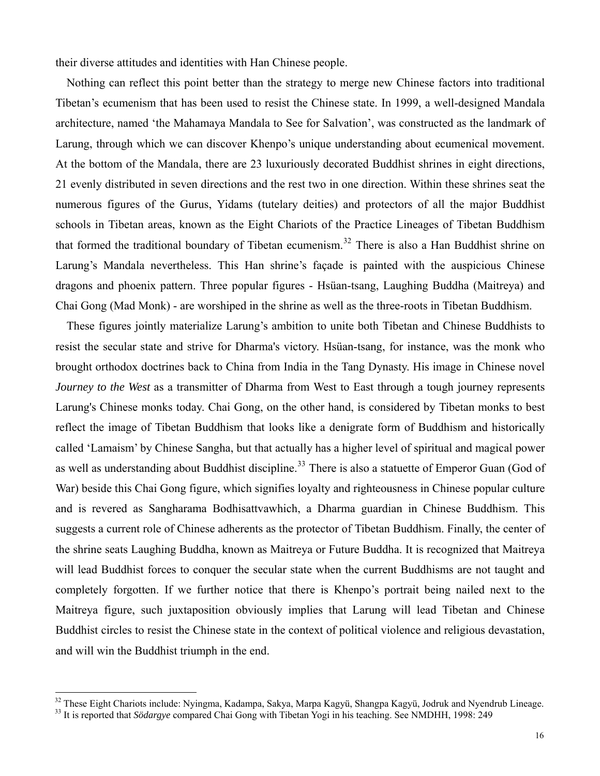their diverse attitudes and identities with Han Chinese people.

Nothing can reflect this point better than the strategy to merge new Chinese factors into traditional Tibetan's ecumenism that has been used to resist the Chinese state. In 1999, a well-designed Mandala architecture, named 'the Mahamaya Mandala to See for Salvation', was constructed as the landmark of Larung, through which we can discover Khenpo's unique understanding about ecumenical movement. At the bottom of the Mandala, there are 23 luxuriously decorated Buddhist shrines in eight directions, 21 evenly distributed in seven directions and the rest two in one direction. Within these shrines seat the numerous figures of the Gurus, Yidams (tutelary deities) and protectors of all the major Buddhist schools in Tibetan areas, known as the Eight Chariots of the Practice Lineages of Tibetan Buddhism that formed the traditional boundary of Tibetan ecumenism.<sup>[32](#page-15-0)</sup> There is also a Han Buddhist shrine on Larung's Mandala nevertheless. This Han shrine's façade is painted with the auspicious Chinese dragons and phoenix pattern. Three popular figures - Hsüan-tsang, Laughing Buddha (Maitreya) and Chai Gong (Mad Monk) - are worshiped in the shrine as well as the three-roots in Tibetan Buddhism.

These figures jointly materialize Larung's ambition to unite both Tibetan and Chinese Buddhists to resist the secular state and strive for Dharma's victory. Hsüan-tsang, for instance, was the monk who brought orthodox doctrines back to China from India in the Tang Dynasty. His image in Chinese novel *Journey to the West* as a transmitter of Dharma from West to East through a tough journey represents Larung's Chinese monks today. Chai Gong, on the other hand, is considered by Tibetan monks to best reflect the image of Tibetan Buddhism that looks like a denigrate form of Buddhism and historically called 'Lamaism' by Chinese Sangha, but that actually has a higher level of spiritual and magical power as well as understanding about Buddhist discipline.<sup>[33](#page-15-1)</sup> There is also a statuette of Emperor Guan (God of War) beside this Chai Gong figure, which signifies loyalty and righteousness in Chinese popular culture and is revered as Sangharama Bodhisattvawhich, a Dharma guardian in Chinese Buddhism. This suggests a current role of Chinese adherents as the protector of Tibetan Buddhism. Finally, the center of the shrine seats Laughing Buddha, known as Maitreya or Future Buddha. It is recognized that Maitreya will lead Buddhist forces to conquer the secular state when the current Buddhisms are not taught and completely forgotten. If we further notice that there is Khenpo's portrait being nailed next to the Maitreya figure, such juxtaposition obviously implies that Larung will lead Tibetan and Chinese Buddhist circles to resist the Chinese state in the context of political violence and religious devastation, and will win the Buddhist triumph in the end.

<span id="page-15-0"></span> $^{32}$  These Eight Chariots include: Nyingma, Kadampa, Sakya, Marpa Kagyü, Shangpa Kagyü, Jodruk and Nyendrub Lineage.<br> $^{33}$  It is reported that Södargye compared Chai Gong with Tibetan Yogi in his teaching. See NMDHH, 1

<span id="page-15-1"></span>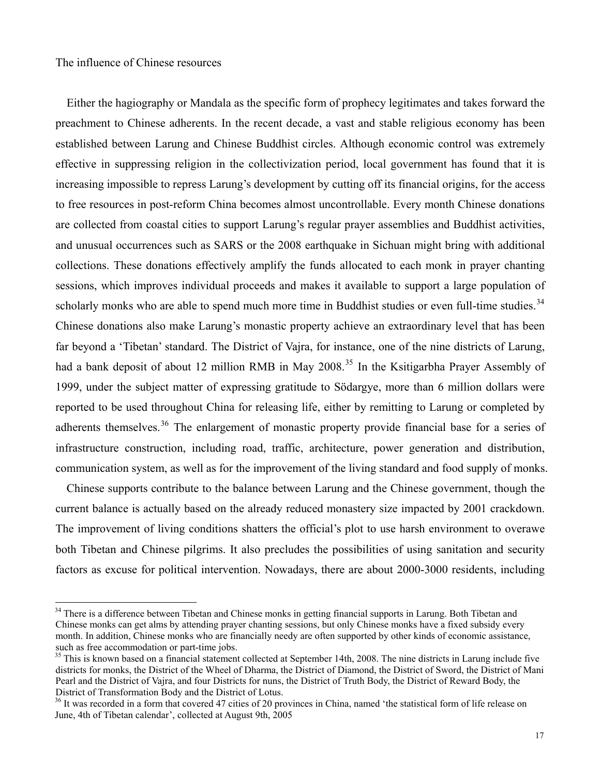$\overline{a}$ 

Either the hagiography or Mandala as the specific form of prophecy legitimates and takes forward the preachment to Chinese adherents. In the recent decade, a vast and stable religious economy has been established between Larung and Chinese Buddhist circles. Although economic control was extremely effective in suppressing religion in the collectivization period, local government has found that it is increasing impossible to repress Larung's development by cutting off its financial origins, for the access to free resources in post-reform China becomes almost uncontrollable. Every month Chinese donations are collected from coastal cities to support Larung's regular prayer assemblies and Buddhist activities, and unusual occurrences such as SARS or the 2008 earthquake in Sichuan might bring with additional collections. These donations effectively amplify the funds allocated to each monk in prayer chanting sessions, which improves individual proceeds and makes it available to support a large population of scholarly monks who are able to spend much more time in Buddhist studies or even full-time studies.<sup>[34](#page-16-0)</sup> Chinese donations also make Larung's monastic property achieve an extraordinary level that has been far beyond a 'Tibetan' standard. The District of Vajra, for instance, one of the nine districts of Larung, had a bank deposit of about 12 million RMB in May 2008.<sup>[35](#page-16-1)</sup> In the Ksitigarbha Prayer Assembly of 1999, under the subject matter of expressing gratitude to Södargye, more than 6 million dollars were reported to be used throughout China for releasing life, either by remitting to Larung or completed by adherents themselves.<sup>[36](#page-16-2)</sup> The enlargement of monastic property provide financial base for a series of infrastructure construction, including road, traffic, architecture, power generation and distribution, communication system, as well as for the improvement of the living standard and food supply of monks.

Chinese supports contribute to the balance between Larung and the Chinese government, though the current balance is actually based on the already reduced monastery size impacted by 2001 crackdown. The improvement of living conditions shatters the official's plot to use harsh environment to overawe both Tibetan and Chinese pilgrims. It also precludes the possibilities of using sanitation and security factors as excuse for political intervention. Nowadays, there are about 2000-3000 residents, including

<span id="page-16-0"></span><sup>&</sup>lt;sup>34</sup> There is a difference between Tibetan and Chinese monks in getting financial supports in Larung. Both Tibetan and Chinese monks can get alms by attending prayer chanting sessions, but only Chinese monks have a fixed subsidy every month. In addition, Chinese monks who are financially needy are often supported by other kinds of economic assistance, such as free accommodation or part-time jobs.

<span id="page-16-1"></span><sup>&</sup>lt;sup>35</sup> This is known based on a financial statement collected at September 14th, 2008. The nine districts in Larung include five districts for monks, the District of the Wheel of Dharma, the District of Diamond, the District of Sword, the District of Mani Pearl and the District of Vajra, and four Districts for nuns, the District of Truth Body, the District of Reward Body, the District of Transformation Body and the District of Lotus.

<span id="page-16-2"></span><sup>&</sup>lt;sup>36</sup> It was recorded in a form that covered 47 cities of 20 provinces in China, named 'the statistical form of life release on June, 4th of Tibetan calendar', collected at August 9th, 2005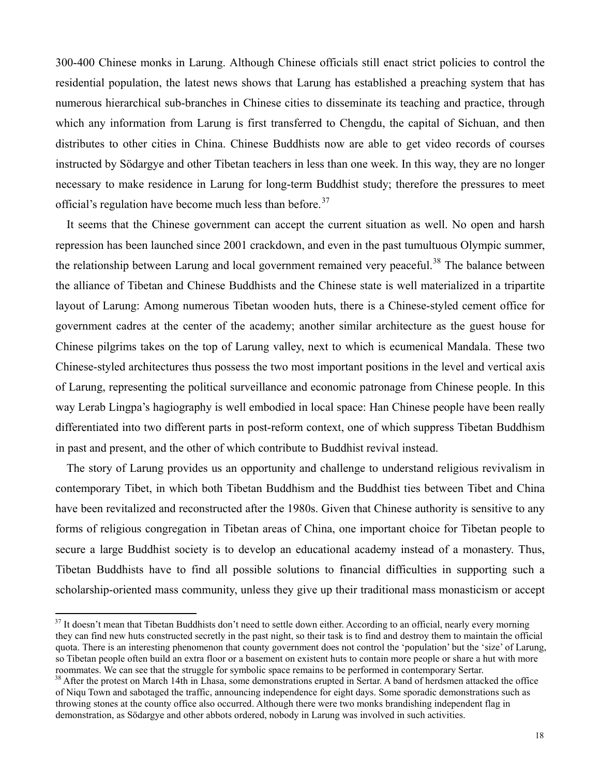300-400 Chinese monks in Larung. Although Chinese officials still enact strict policies to control the residential population, the latest news shows that Larung has established a preaching system that has numerous hierarchical sub-branches in Chinese cities to disseminate its teaching and practice, through which any information from Larung is first transferred to Chengdu, the capital of Sichuan, and then distributes to other cities in China. Chinese Buddhists now are able to get video records of courses instructed by Södargye and other Tibetan teachers in less than one week. In this way, they are no longer necessary to make residence in Larung for long-term Buddhist study; therefore the pressures to meet official's regulation have become much less than before.<sup>[37](#page-17-0)</sup>

It seems that the Chinese government can accept the current situation as well. No open and harsh repression has been launched since 2001 crackdown, and even in the past tumultuous Olympic summer, the relationship between Larung and local government remained very peaceful.<sup>[38](#page-17-1)</sup> The balance between the alliance of Tibetan and Chinese Buddhists and the Chinese state is well materialized in a tripartite layout of Larung: Among numerous Tibetan wooden huts, there is a Chinese-styled cement office for government cadres at the center of the academy; another similar architecture as the guest house for Chinese pilgrims takes on the top of Larung valley, next to which is ecumenical Mandala. These two Chinese-styled architectures thus possess the two most important positions in the level and vertical axis of Larung, representing the political surveillance and economic patronage from Chinese people. In this way Lerab Lingpa's hagiography is well embodied in local space: Han Chinese people have been really differentiated into two different parts in post-reform context, one of which suppress Tibetan Buddhism in past and present, and the other of which contribute to Buddhist revival instead.

The story of Larung provides us an opportunity and challenge to understand religious revivalism in contemporary Tibet, in which both Tibetan Buddhism and the Buddhist ties between Tibet and China have been revitalized and reconstructed after the 1980s. Given that Chinese authority is sensitive to any forms of religious congregation in Tibetan areas of China, one important choice for Tibetan people to secure a large Buddhist society is to develop an educational academy instead of a monastery. Thus, Tibetan Buddhists have to find all possible solutions to financial difficulties in supporting such a scholarship-oriented mass community, unless they give up their traditional mass monasticism or accept

<span id="page-17-0"></span> $37$  It doesn't mean that Tibetan Buddhists don't need to settle down either. According to an official, nearly every morning they can find new huts constructed secretly in the past night, so their task is to find and destroy them to maintain the official quota. There is an interesting phenomenon that county government does not control the 'population' but the 'size' of Larung, so Tibetan people often build an extra floor or a basement on existent huts to contain more people or share a hut with more roommates. We can see that the struggle for symbolic space remains to be performed in contemporary Sertar.<br><sup>38</sup> After the protest on March 14th in Lhasa, some demonstrations erupted in Sertar. A band of herdsmen attacked t

<span id="page-17-1"></span>of Niqu Town and sabotaged the traffic, announcing independence for eight days. Some sporadic demonstrations such as throwing stones at the county office also occurred. Although there were two monks brandishing independent flag in demonstration, as Södargye and other abbots ordered, nobody in Larung was involved in such activities.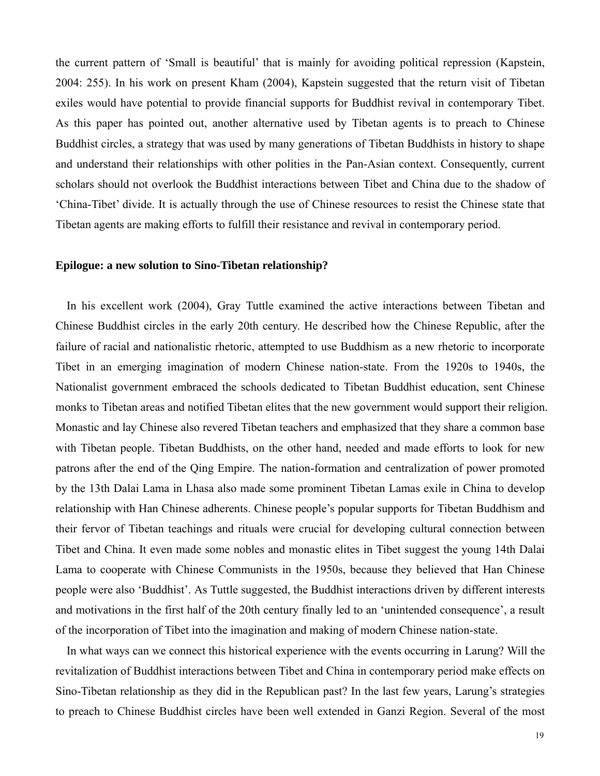the current pattern of 'Small is beautiful' that is mainly for avoiding political repression (Kapstein, 2004: 255). In his work on present Kham (2004), Kapstein suggested that the return visit of Tibetan exiles would have potential to provide financial supports for Buddhist revival in contemporary Tibet. As this paper has pointed out, another alternative used by Tibetan agents is to preach to Chinese Buddhist circles, a strategy that was used by many generations of Tibetan Buddhists in history to shape and understand their relationships with other polities in the Pan-Asian context. Consequently, current scholars should not overlook the Buddhist interactions between Tibet and China due to the shadow of 'China-Tibet' divide. It is actually through the use of Chinese resources to resist the Chinese state that Tibetan agents are making efforts to fulfill their resistance and revival in contemporary period.

#### **Epilogue: a new solution to Sino-Tibetan relationship?**

In his excellent work (2004), Gray Tuttle examined the active interactions between Tibetan and Chinese Buddhist circles in the early 20th century. He described how the Chinese Republic, after the failure of racial and nationalistic rhetoric, attempted to use Buddhism as a new rhetoric to incorporate Tibet in an emerging imagination of modern Chinese nation-state. From the 1920s to 1940s, the Nationalist government embraced the schools dedicated to Tibetan Buddhist education, sent Chinese monks to Tibetan areas and notified Tibetan elites that the new government would support their religion. Monastic and lay Chinese also revered Tibetan teachers and emphasized that they share a common base with Tibetan people. Tibetan Buddhists, on the other hand, needed and made efforts to look for new patrons after the end of the Qing Empire. The nation-formation and centralization of power promoted by the 13th Dalai Lama in Lhasa also made some prominent Tibetan Lamas exile in China to develop relationship with Han Chinese adherents. Chinese people's popular supports for Tibetan Buddhism and their fervor of Tibetan teachings and rituals were crucial for developing cultural connection between Tibet and China. It even made some nobles and monastic elites in Tibet suggest the young 14th Dalai Lama to cooperate with Chinese Communists in the 1950s, because they believed that Han Chinese people were also 'Buddhist'. As Tuttle suggested, the Buddhist interactions driven by different interests and motivations in the first half of the 20th century finally led to an 'unintended consequence', a result of the incorporation of Tibet into the imagination and making of modern Chinese nation-state.

In what ways can we connect this historical experience with the events occurring in Larung? Will the revitalization of Buddhist interactions between Tibet and China in contemporary period make effects on Sino-Tibetan relationship as they did in the Republican past? In the last few years, Larung's strategies to preach to Chinese Buddhist circles have been well extended in Ganzi Region. Several of the most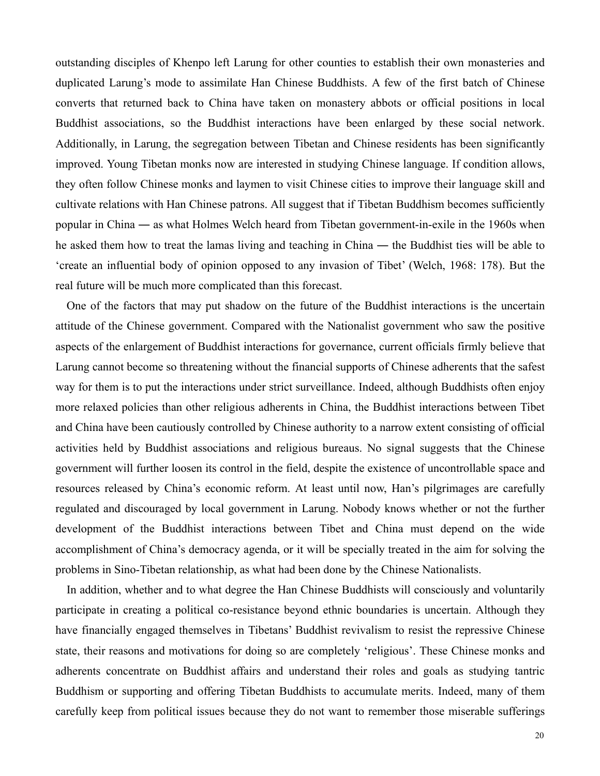outstanding disciples of Khenpo left Larung for other counties to establish their own monasteries and duplicated Larung's mode to assimilate Han Chinese Buddhists. A few of the first batch of Chinese converts that returned back to China have taken on monastery abbots or official positions in local Buddhist associations, so the Buddhist interactions have been enlarged by these social network. Additionally, in Larung, the segregation between Tibetan and Chinese residents has been significantly improved. Young Tibetan monks now are interested in studying Chinese language. If condition allows, they often follow Chinese monks and laymen to visit Chinese cities to improve their language skill and cultivate relations with Han Chinese patrons. All suggest that if Tibetan Buddhism becomes sufficiently popular in China ― as what Holmes Welch heard from Tibetan government-in-exile in the 1960s when he asked them how to treat the lamas living and teaching in China ― the Buddhist ties will be able to 'create an influential body of opinion opposed to any invasion of Tibet' (Welch, 1968: 178). But the real future will be much more complicated than this forecast.

One of the factors that may put shadow on the future of the Buddhist interactions is the uncertain attitude of the Chinese government. Compared with the Nationalist government who saw the positive aspects of the enlargement of Buddhist interactions for governance, current officials firmly believe that Larung cannot become so threatening without the financial supports of Chinese adherents that the safest way for them is to put the interactions under strict surveillance. Indeed, although Buddhists often enjoy more relaxed policies than other religious adherents in China, the Buddhist interactions between Tibet and China have been cautiously controlled by Chinese authority to a narrow extent consisting of official activities held by Buddhist associations and religious bureaus. No signal suggests that the Chinese government will further loosen its control in the field, despite the existence of uncontrollable space and resources released by China's economic reform. At least until now, Han's pilgrimages are carefully regulated and discouraged by local government in Larung. Nobody knows whether or not the further development of the Buddhist interactions between Tibet and China must depend on the wide accomplishment of China's democracy agenda, or it will be specially treated in the aim for solving the problems in Sino-Tibetan relationship, as what had been done by the Chinese Nationalists.

In addition, whether and to what degree the Han Chinese Buddhists will consciously and voluntarily participate in creating a political co-resistance beyond ethnic boundaries is uncertain. Although they have financially engaged themselves in Tibetans' Buddhist revivalism to resist the repressive Chinese state, their reasons and motivations for doing so are completely 'religious'. These Chinese monks and adherents concentrate on Buddhist affairs and understand their roles and goals as studying tantric Buddhism or supporting and offering Tibetan Buddhists to accumulate merits. Indeed, many of them carefully keep from political issues because they do not want to remember those miserable sufferings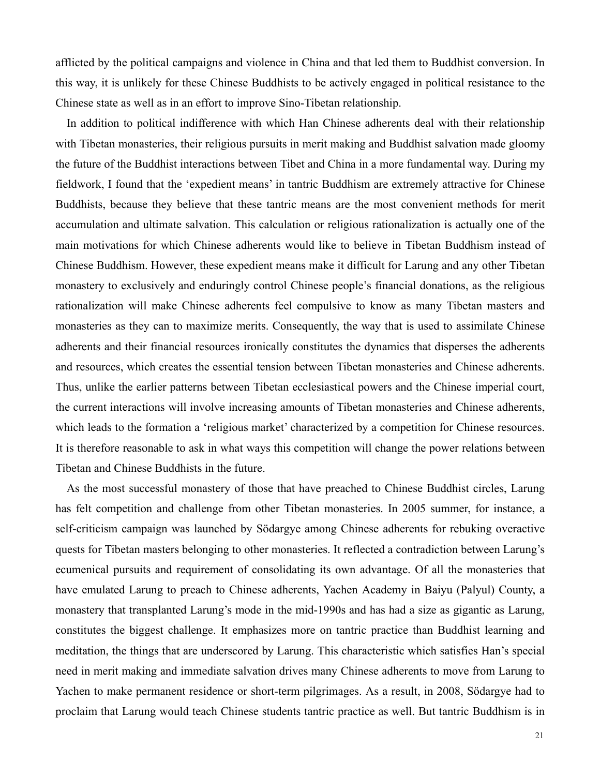afflicted by the political campaigns and violence in China and that led them to Buddhist conversion. In this way, it is unlikely for these Chinese Buddhists to be actively engaged in political resistance to the Chinese state as well as in an effort to improve Sino-Tibetan relationship.

In addition to political indifference with which Han Chinese adherents deal with their relationship with Tibetan monasteries, their religious pursuits in merit making and Buddhist salvation made gloomy the future of the Buddhist interactions between Tibet and China in a more fundamental way. During my fieldwork, I found that the 'expedient means' in tantric Buddhism are extremely attractive for Chinese Buddhists, because they believe that these tantric means are the most convenient methods for merit accumulation and ultimate salvation. This calculation or religious rationalization is actually one of the main motivations for which Chinese adherents would like to believe in Tibetan Buddhism instead of Chinese Buddhism. However, these expedient means make it difficult for Larung and any other Tibetan monastery to exclusively and enduringly control Chinese people's financial donations, as the religious rationalization will make Chinese adherents feel compulsive to know as many Tibetan masters and monasteries as they can to maximize merits. Consequently, the way that is used to assimilate Chinese adherents and their financial resources ironically constitutes the dynamics that disperses the adherents and resources, which creates the essential tension between Tibetan monasteries and Chinese adherents. Thus, unlike the earlier patterns between Tibetan ecclesiastical powers and the Chinese imperial court, the current interactions will involve increasing amounts of Tibetan monasteries and Chinese adherents, which leads to the formation a 'religious market' characterized by a competition for Chinese resources. It is therefore reasonable to ask in what ways this competition will change the power relations between Tibetan and Chinese Buddhists in the future.

As the most successful monastery of those that have preached to Chinese Buddhist circles, Larung has felt competition and challenge from other Tibetan monasteries. In 2005 summer, for instance, a self-criticism campaign was launched by Södargye among Chinese adherents for rebuking overactive quests for Tibetan masters belonging to other monasteries. It reflected a contradiction between Larung's ecumenical pursuits and requirement of consolidating its own advantage. Of all the monasteries that have emulated Larung to preach to Chinese adherents, Yachen Academy in Baiyu (Palyul) County, a monastery that transplanted Larung's mode in the mid-1990s and has had a size as gigantic as Larung, constitutes the biggest challenge. It emphasizes more on tantric practice than Buddhist learning and meditation, the things that are underscored by Larung. This characteristic which satisfies Han's special need in merit making and immediate salvation drives many Chinese adherents to move from Larung to Yachen to make permanent residence or short-term pilgrimages. As a result, in 2008, Södargye had to proclaim that Larung would teach Chinese students tantric practice as well. But tantric Buddhism is in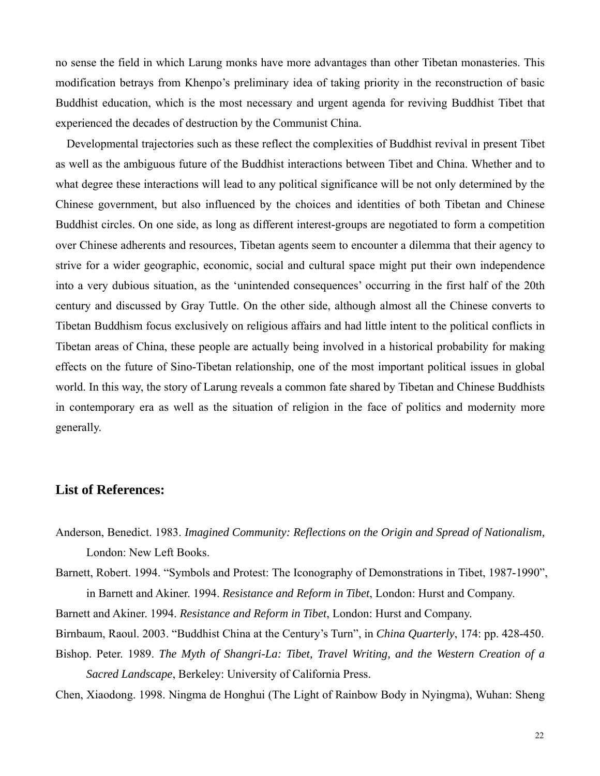no sense the field in which Larung monks have more advantages than other Tibetan monasteries. This modification betrays from Khenpo's preliminary idea of taking priority in the reconstruction of basic Buddhist education, which is the most necessary and urgent agenda for reviving Buddhist Tibet that experienced the decades of destruction by the Communist China.

Developmental trajectories such as these reflect the complexities of Buddhist revival in present Tibet as well as the ambiguous future of the Buddhist interactions between Tibet and China. Whether and to what degree these interactions will lead to any political significance will be not only determined by the Chinese government, but also influenced by the choices and identities of both Tibetan and Chinese Buddhist circles. On one side, as long as different interest-groups are negotiated to form a competition over Chinese adherents and resources, Tibetan agents seem to encounter a dilemma that their agency to strive for a wider geographic, economic, social and cultural space might put their own independence into a very dubious situation, as the 'unintended consequences' occurring in the first half of the 20th century and discussed by Gray Tuttle. On the other side, although almost all the Chinese converts to Tibetan Buddhism focus exclusively on religious affairs and had little intent to the political conflicts in Tibetan areas of China, these people are actually being involved in a historical probability for making effects on the future of Sino-Tibetan relationship, one of the most important political issues in global world. In this way, the story of Larung reveals a common fate shared by Tibetan and Chinese Buddhists in contemporary era as well as the situation of religion in the face of politics and modernity more generally.

# **List of References:**

Anderson, Benedict. 1983. *Imagined Community: Reflections on the Origin and Spread of Nationalism,* London: New Left Books.

Barnett, Robert. 1994. "Symbols and Protest: The Iconography of Demonstrations in Tibet, 1987-1990", in Barnett and Akiner. 1994. *Resistance and Reform in Tibet*, London: Hurst and Company.

- Barnett and Akiner. 1994. *Resistance and Reform in Tibet*, London: Hurst and Company.
- Birnbaum, Raoul. 2003. "Buddhist China at the Century's Turn", in *China Quarterly*, 174: pp. 428-450.
- Bishop. Peter. 1989. *The Myth of Shangri-La: Tibet, Travel Writing, and the Western Creation of a Sacred Landscape*, Berkeley: University of California Press.
- Chen, Xiaodong. 1998. Ningma de Honghui (The Light of Rainbow Body in Nyingma), Wuhan: Sheng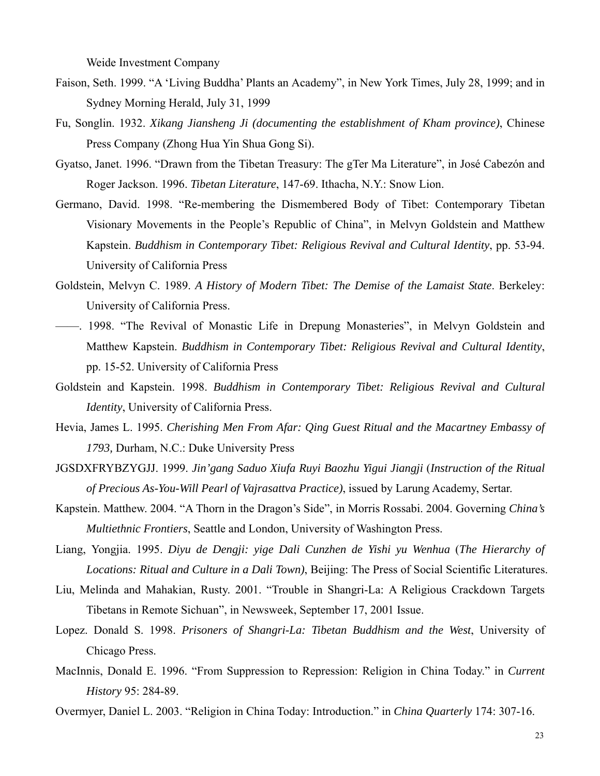Weide Investment Company

- Faison, Seth. 1999. "A 'Living Buddha' Plants an Academy", in New York Times, July 28, 1999; and in Sydney Morning Herald, July 31, 1999
- Fu, Songlin. 1932. *Xikang Jiansheng Ji (documenting the establishment of Kham province)*, Chinese Press Company (Zhong Hua Yin Shua Gong Si).
- Gyatso, Janet. 1996. "Drawn from the Tibetan Treasury: The gTer Ma Literature", in José Cabezón and Roger Jackson. 1996. *Tibetan Literature*, 147-69. Ithacha, N.Y.: Snow Lion.
- Germano, David. 1998. "Re-membering the Dismembered Body of Tibet: Contemporary Tibetan Visionary Movements in the People's Republic of China", in Melvyn Goldstein and Matthew Kapstein. *Buddhism in Contemporary Tibet: Religious Revival and Cultural Identity*, pp. 53-94. University of California Press
- Goldstein, Melvyn C. 1989. *A History of Modern Tibet: The Demise of the Lamaist State*. Berkeley: University of California Press.
- ——. 1998. "The Revival of Monastic Life in Drepung Monasteries", in Melvyn Goldstein and Matthew Kapstein. *Buddhism in Contemporary Tibet: Religious Revival and Cultural Identity*, pp. 15-52. University of California Press
- Goldstein and Kapstein. 1998. *Buddhism in Contemporary Tibet: Religious Revival and Cultural Identity*, University of California Press.
- Hevia, James L. 1995. *Cherishing Men From Afar: Qing Guest Ritual and the Macartney Embassy of 1793,* Durham, N.C.: Duke University Press
- JGSDXFRYBZYGJJ. 1999. *Jin'gang Saduo Xiufa Ruyi Baozhu Yigui Jiangji* (*Instruction of the Ritual of Precious As-You-Will Pearl of Vajrasattva Practice)*, issued by Larung Academy, Sertar.
- Kapstein. Matthew. 2004. "A Thorn in the Dragon's Side", in Morris Rossabi. 2004. Governing *China's Multiethnic Frontiers*, Seattle and London, University of Washington Press.
- Liang, Yongjia. 1995. *Diyu de Dengji: yige Dali Cunzhen de Yishi yu Wenhua* (*The Hierarchy of Locations: Ritual and Culture in a Dali Town)*, Beijing: The Press of Social Scientific Literatures.
- Liu, Melinda and Mahakian, Rusty. 2001. "Trouble in Shangri-La: A Religious Crackdown Targets Tibetans in Remote Sichuan", in Newsweek, September 17, 2001 Issue.
- Lopez. Donald S. 1998. *Prisoners of Shangri-La: Tibetan Buddhism and the West*, University of Chicago Press.
- MacInnis, Donald E. 1996. "From Suppression to Repression: Religion in China Today." in *Current History* 95: 284-89.
- Overmyer, Daniel L. 2003. "Religion in China Today: Introduction." in *China Quarterly* 174: 307-16.